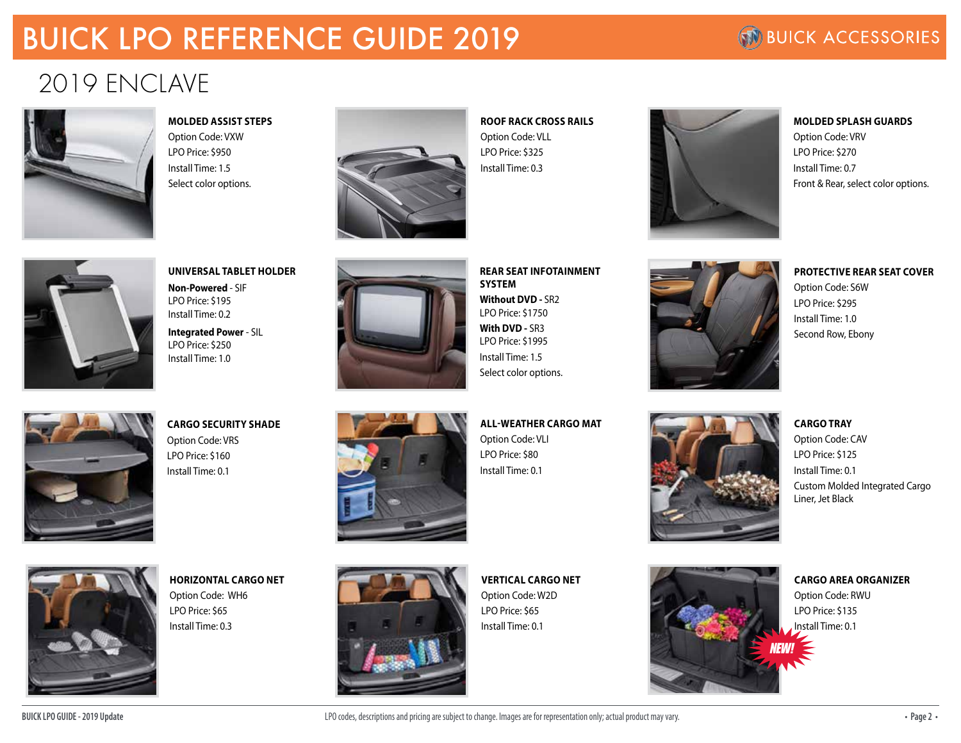## BUICK LPO REFERENCE GUIDE 2019

### **NO BUICK ACCESSORIES**

## 2019 ENCLAVE



**MOLDED ASSIST STEPS**

Option Code: VXW LPO Price: \$950 Install Time: 1.5 Select color options.



**ROOF RACK CROSS RAILS** Option Code: VLL LPO Price: \$325 Install Time: 0.3



**MOLDED SPLASH GUARDS** Option Code: VRV LPO Price: \$270 Install Time: 0.7 Front & Rear, select color options.

**PROTECTIVE REAR SEAT COVER**

Option Code: S6W LPO Price: \$295 Install Time: 1.0 Second Row, Ebony



### **UNIVERSAL TABLET HOLDER Non-Powered** - SIF

LPO Price: \$195 Install Time: 0.2

**Integrated Power** - SIL LPO Price: \$250 Install Time: 1.0

**CARGO SECURITY SHADE**

Option Code: VRS LPO Price: \$160 Install Time: 0.1



**REAR SEAT INFOTAINMENT SYSTEM Without DVD -** SR2 LPO Price: \$1750 **With DVD -** SR3 LPO Price: \$1995 Install Time: 1.5 Select color options.

**ALL-WEATHER CARGO MAT** Option Code: VLI LPO Price: \$80 Install Time: 0.1



### **CARGO TRAY** Option Code: CAV LPO Price: \$125 Install Time: 0.1 Custom Molded Integrated Cargo Liner, Jet Black



**HORIZONTAL CARGO NET** Option Code: WH6 LPO Price: \$65 Install Time: 0.3



**VERTICAL CARGO NET** Option Code: W2D LPO Price: \$65 Install Time: 0.1

*NEW!*

#### **CARGO AREA ORGANIZER**

Option Code: RWU LPO Price: \$135 Install Time: 0.1